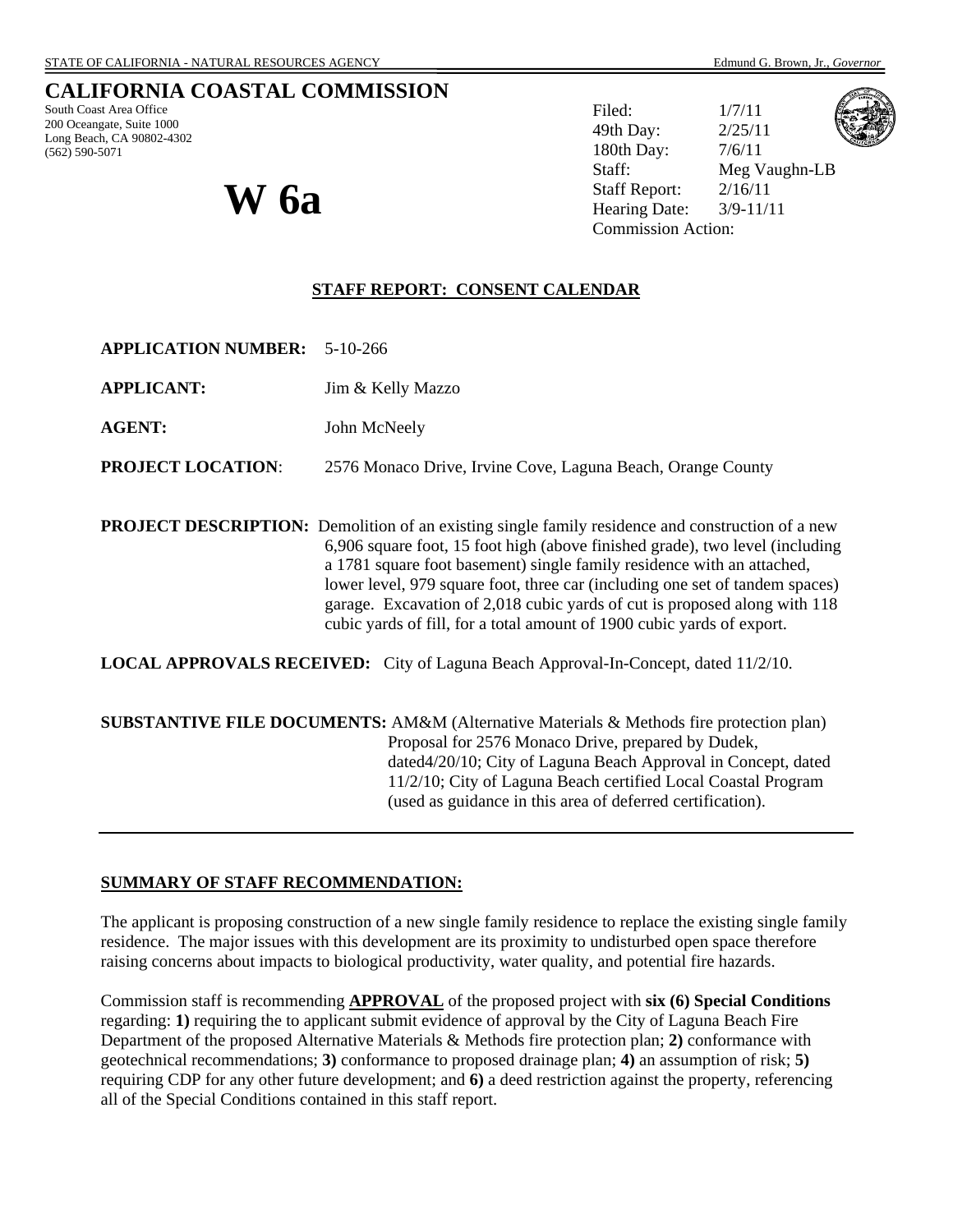# **CALIFORNIA COASTAL COMMISSION**

South Coast Area Office 200 Oceangate, Suite 1000 Long Beach, CA 90802-4302 (562) 590-5071

Filed:  $1/7/11$ 49th Day: 2/25/11 180th Day: 7/6/11 Staff: Meg Vaughn-LB Staff Report: 2/16/11  $\mathbf{W}$  **6a**  $\mathbf{a}$  **W**  $\mathbf{b}$  **M**  $\mathbf{b}$  **Example Date:**  $\frac{2/16/11}{3/9-11/11}$ Commission Action:



**STAFF REPORT: CONSENT CALENDAR**

| <b>APPLICATION NUMBER: 5-10-266</b> |  |
|-------------------------------------|--|
|-------------------------------------|--|

**APPLICANT:** Jim & Kelly Mazzo

**AGENT:** John McNeely

**PROJECT LOCATION**: 2576 Monaco Drive, Irvine Cove, Laguna Beach, Orange County

**PROJECT DESCRIPTION:** Demolition of an existing single family residence and construction of a new 6,906 square foot, 15 foot high (above finished grade), two level (including a 1781 square foot basement) single family residence with an attached, lower level, 979 square foot, three car (including one set of tandem spaces) garage. Excavation of 2,018 cubic yards of cut is proposed along with 118 cubic yards of fill, for a total amount of 1900 cubic yards of export.

**LOCAL APPROVALS RECEIVED:** City of Laguna Beach Approval-In-Concept, dated 11/2/10.

**SUBSTANTIVE FILE DOCUMENTS:** AM&M (Alternative Materials & Methods fire protection plan) Proposal for 2576 Monaco Drive, prepared by Dudek, dated4/20/10; City of Laguna Beach Approval in Concept, dated 11/2/10; City of Laguna Beach certified Local Coastal Program (used as guidance in this area of deferred certification).

#### **SUMMARY OF STAFF RECOMMENDATION:**

The applicant is proposing construction of a new single family residence to replace the existing single family residence. The major issues with this development are its proximity to undisturbed open space therefore raising concerns about impacts to biological productivity, water quality, and potential fire hazards.

Commission staff is recommending **APPROVAL** of the proposed project with **six (6) Special Conditions** regarding: **1)** requiring the to applicant submit evidence of approval by the City of Laguna Beach Fire Department of the proposed Alternative Materials & Methods fire protection plan; **2)** conformance with geotechnical recommendations; **3)** conformance to proposed drainage plan; **4)** an assumption of risk; **5)**  requiring CDP for any other future development; and **6)** a deed restriction against the property, referencing all of the Special Conditions contained in this staff report.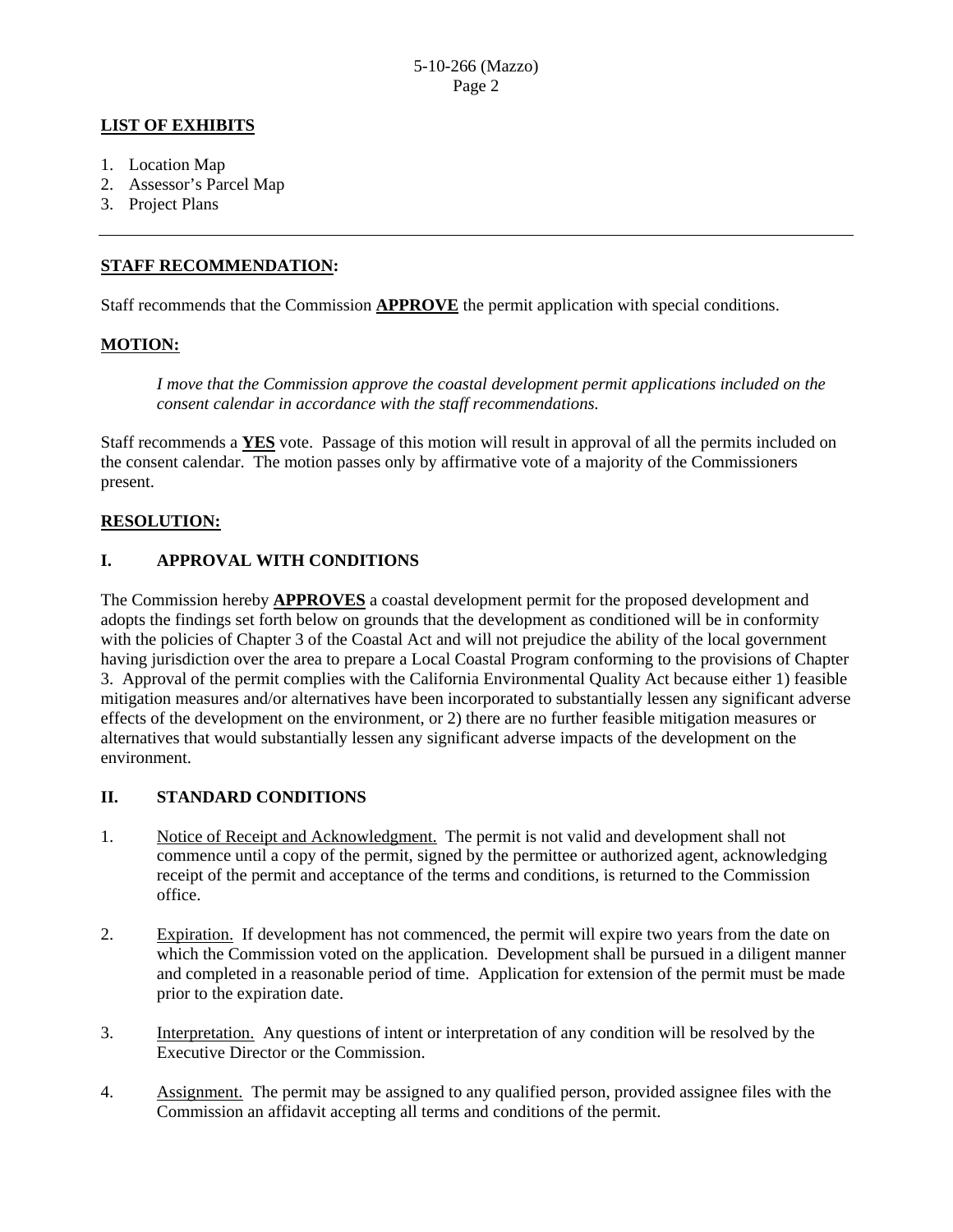### **LIST OF EXHIBITS**

- 1. Location Map
- 2. Assessor's Parcel Map
- 3. Project Plans

#### **STAFF RECOMMENDATION:**

Staff recommends that the Commission **APPROVE** the permit application with special conditions.

#### **MOTION:**

*I move that the Commission approve the coastal development permit applications included on the consent calendar in accordance with the staff recommendations.*

Staff recommends a **YES** vote. Passage of this motion will result in approval of all the permits included on the consent calendar. The motion passes only by affirmative vote of a majority of the Commissioners present.

# **RESOLUTION:**

# **I. APPROVAL WITH CONDITIONS**

The Commission hereby **APPROVES** a coastal development permit for the proposed development and adopts the findings set forth below on grounds that the development as conditioned will be in conformity with the policies of Chapter 3 of the Coastal Act and will not prejudice the ability of the local government having jurisdiction over the area to prepare a Local Coastal Program conforming to the provisions of Chapter 3. Approval of the permit complies with the California Environmental Quality Act because either 1) feasible mitigation measures and/or alternatives have been incorporated to substantially lessen any significant adverse effects of the development on the environment, or 2) there are no further feasible mitigation measures or alternatives that would substantially lessen any significant adverse impacts of the development on the environment.

#### **II. STANDARD CONDITIONS**

- 1. Notice of Receipt and Acknowledgment. The permit is not valid and development shall not commence until a copy of the permit, signed by the permittee or authorized agent, acknowledging receipt of the permit and acceptance of the terms and conditions, is returned to the Commission office.
- 2. Expiration. If development has not commenced, the permit will expire two years from the date on which the Commission voted on the application. Development shall be pursued in a diligent manner and completed in a reasonable period of time. Application for extension of the permit must be made prior to the expiration date.
- 3. Interpretation. Any questions of intent or interpretation of any condition will be resolved by the Executive Director or the Commission.
- 4. Assignment. The permit may be assigned to any qualified person, provided assignee files with the Commission an affidavit accepting all terms and conditions of the permit.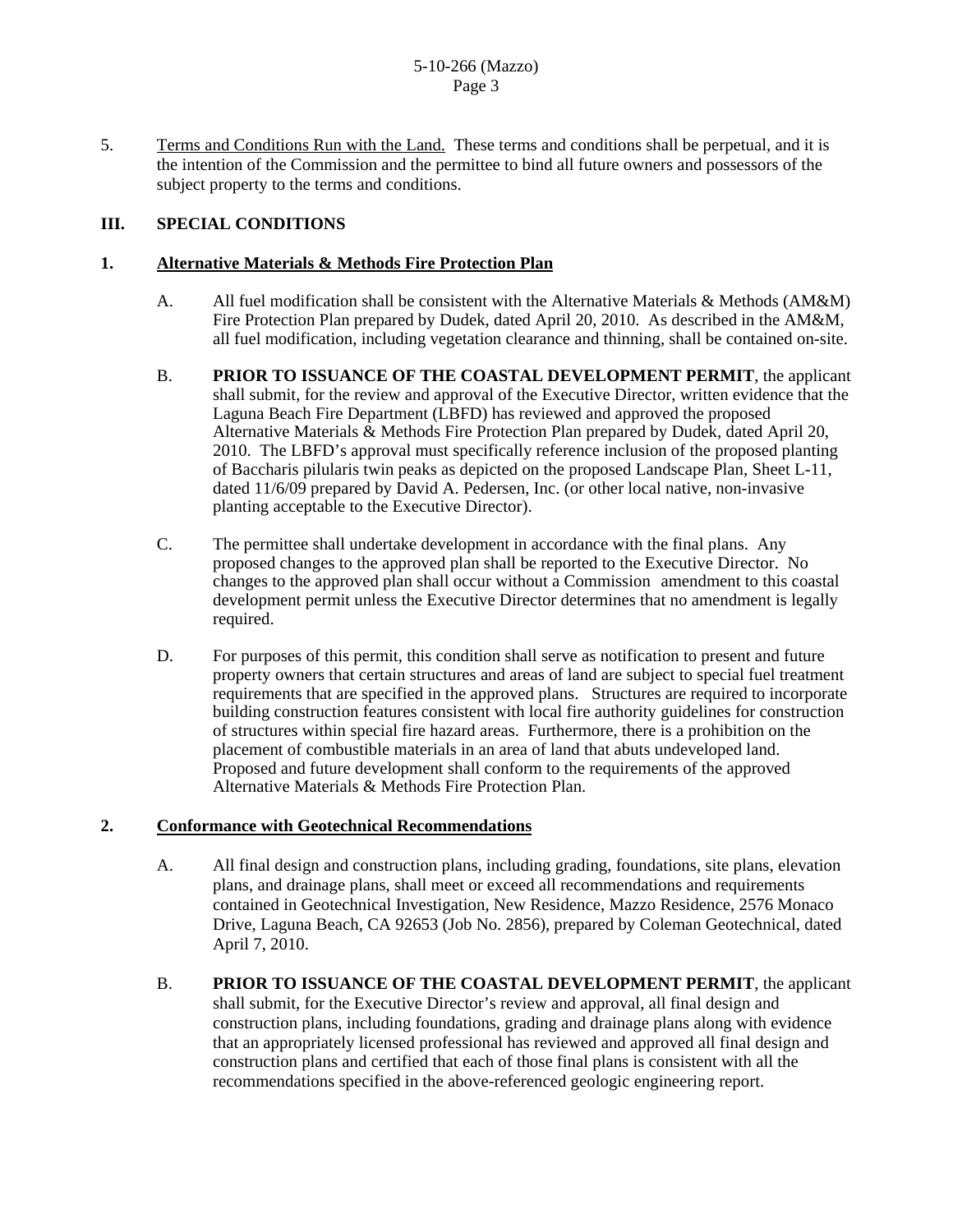5. Terms and Conditions Run with the Land. These terms and conditions shall be perpetual, and it is the intention of the Commission and the permittee to bind all future owners and possessors of the subject property to the terms and conditions.

# **III. SPECIAL CONDITIONS**

#### **1. Alternative Materials & Methods Fire Protection Plan**

- A. All fuel modification shall be consistent with the Alternative Materials & Methods (AM&M) Fire Protection Plan prepared by Dudek, dated April 20, 2010. As described in the AM&M, all fuel modification, including vegetation clearance and thinning, shall be contained on-site.
- B. **PRIOR TO ISSUANCE OF THE COASTAL DEVELOPMENT PERMIT**, the applicant shall submit, for the review and approval of the Executive Director, written evidence that the Laguna Beach Fire Department (LBFD) has reviewed and approved the proposed Alternative Materials & Methods Fire Protection Plan prepared by Dudek, dated April 20, 2010. The LBFD's approval must specifically reference inclusion of the proposed planting of Baccharis pilularis twin peaks as depicted on the proposed Landscape Plan, Sheet L-11, dated 11/6/09 prepared by David A. Pedersen, Inc. (or other local native, non-invasive planting acceptable to the Executive Director).
- C. The permittee shall undertake development in accordance with the final plans. Any proposed changes to the approved plan shall be reported to the Executive Director. No changes to the approved plan shall occur without a Commission amendment to this coastal development permit unless the Executive Director determines that no amendment is legally required.
- D. For purposes of this permit, this condition shall serve as notification to present and future property owners that certain structures and areas of land are subject to special fuel treatment requirements that are specified in the approved plans. Structures are required to incorporate building construction features consistent with local fire authority guidelines for construction of structures within special fire hazard areas. Furthermore, there is a prohibition on the placement of combustible materials in an area of land that abuts undeveloped land. Proposed and future development shall conform to the requirements of the approved Alternative Materials & Methods Fire Protection Plan.

#### **2. Conformance with Geotechnical Recommendations**

- A. All final design and construction plans, including grading, foundations, site plans, elevation plans, and drainage plans, shall meet or exceed all recommendations and requirements contained in Geotechnical Investigation, New Residence, Mazzo Residence, 2576 Monaco Drive, Laguna Beach, CA 92653 (Job No. 2856), prepared by Coleman Geotechnical, dated April 7, 2010.
- B. **PRIOR TO ISSUANCE OF THE COASTAL DEVELOPMENT PERMIT**, the applicant shall submit, for the Executive Director's review and approval, all final design and construction plans, including foundations, grading and drainage plans along with evidence that an appropriately licensed professional has reviewed and approved all final design and construction plans and certified that each of those final plans is consistent with all the recommendations specified in the above-referenced geologic engineering report.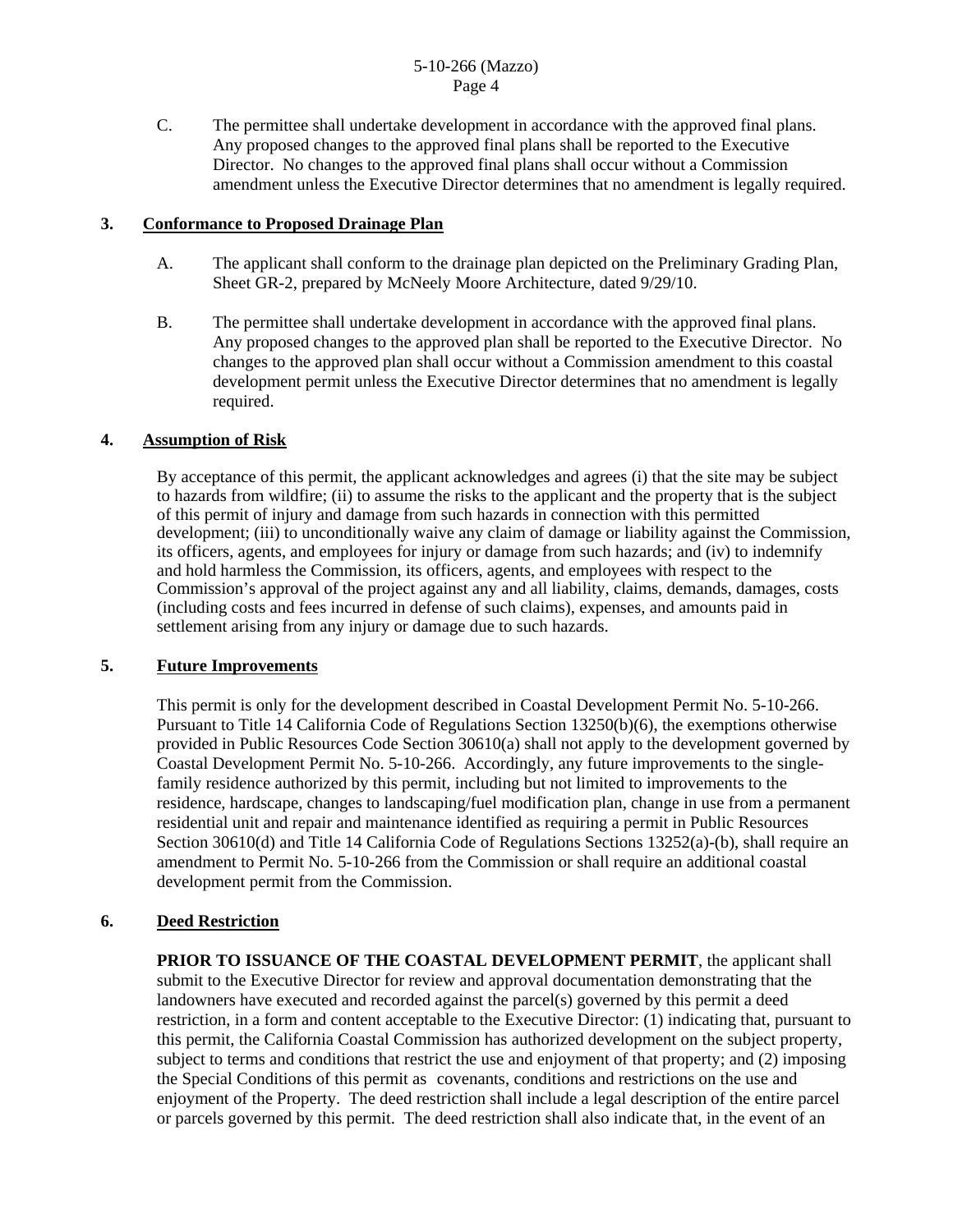C. The permittee shall undertake development in accordance with the approved final plans. Any proposed changes to the approved final plans shall be reported to the Executive Director. No changes to the approved final plans shall occur without a Commission amendment unless the Executive Director determines that no amendment is legally required.

#### **3. Conformance to Proposed Drainage Plan**

- A. The applicant shall conform to the drainage plan depicted on the Preliminary Grading Plan, Sheet GR-2, prepared by McNeely Moore Architecture, dated 9/29/10.
- B. The permittee shall undertake development in accordance with the approved final plans. Any proposed changes to the approved plan shall be reported to the Executive Director. No changes to the approved plan shall occur without a Commission amendment to this coastal development permit unless the Executive Director determines that no amendment is legally required.

### **4. Assumption of Risk**

 By acceptance of this permit, the applicant acknowledges and agrees (i) that the site may be subject to hazards from wildfire; (ii) to assume the risks to the applicant and the property that is the subject of this permit of injury and damage from such hazards in connection with this permitted development; (iii) to unconditionally waive any claim of damage or liability against the Commission, its officers, agents, and employees for injury or damage from such hazards; and (iv) to indemnify and hold harmless the Commission, its officers, agents, and employees with respect to the Commission's approval of the project against any and all liability, claims, demands, damages, costs (including costs and fees incurred in defense of such claims), expenses, and amounts paid in settlement arising from any injury or damage due to such hazards.

#### **5. Future Improvements**

This permit is only for the development described in Coastal Development Permit No. 5-10-266. Pursuant to Title 14 California Code of Regulations Section 13250(b)(6), the exemptions otherwise provided in Public Resources Code Section 30610(a) shall not apply to the development governed by Coastal Development Permit No. 5-10-266. Accordingly, any future improvements to the singlefamily residence authorized by this permit, including but not limited to improvements to the residence, hardscape, changes to landscaping/fuel modification plan, change in use from a permanent residential unit and repair and maintenance identified as requiring a permit in Public Resources Section 30610(d) and Title 14 California Code of Regulations Sections 13252(a)-(b), shall require an amendment to Permit No. 5-10-266 from the Commission or shall require an additional coastal development permit from the Commission.

#### **6. Deed Restriction**

**PRIOR TO ISSUANCE OF THE COASTAL DEVELOPMENT PERMIT**, the applicant shall submit to the Executive Director for review and approval documentation demonstrating that the landowners have executed and recorded against the parcel(s) governed by this permit a deed restriction, in a form and content acceptable to the Executive Director: (1) indicating that, pursuant to this permit, the California Coastal Commission has authorized development on the subject property, subject to terms and conditions that restrict the use and enjoyment of that property; and (2) imposing the Special Conditions of this permit as covenants, conditions and restrictions on the use and enjoyment of the Property. The deed restriction shall include a legal description of the entire parcel or parcels governed by this permit. The deed restriction shall also indicate that, in the event of an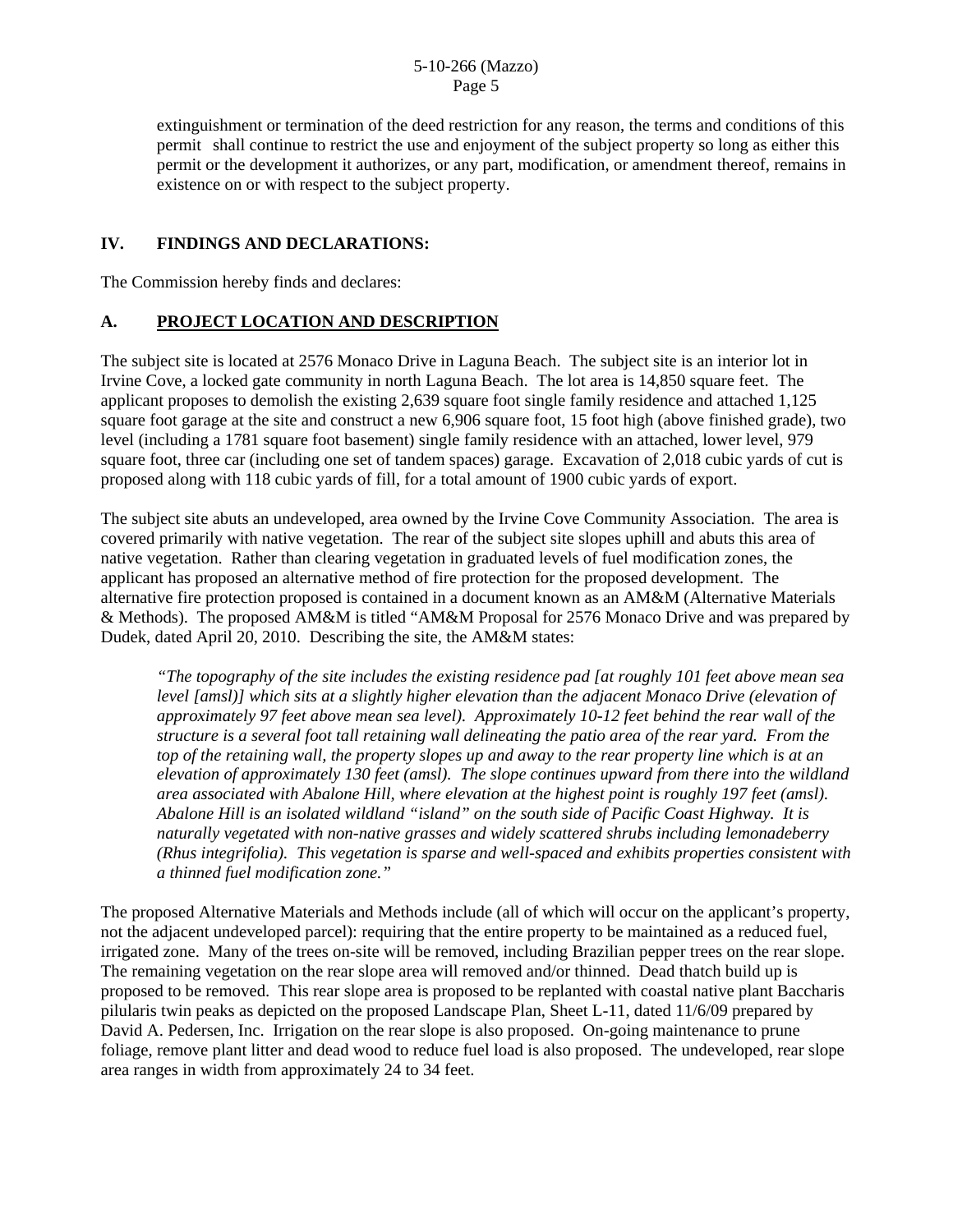extinguishment or termination of the deed restriction for any reason, the terms and conditions of this permit shall continue to restrict the use and enjoyment of the subject property so long as either this permit or the development it authorizes, or any part, modification, or amendment thereof, remains in existence on or with respect to the subject property.

# **IV. FINDINGS AND DECLARATIONS:**

The Commission hereby finds and declares:

# **A. PROJECT LOCATION AND DESCRIPTION**

The subject site is located at 2576 Monaco Drive in Laguna Beach. The subject site is an interior lot in Irvine Cove, a locked gate community in north Laguna Beach. The lot area is 14,850 square feet. The applicant proposes to demolish the existing 2,639 square foot single family residence and attached 1,125 square foot garage at the site and construct a new 6,906 square foot, 15 foot high (above finished grade), two level (including a 1781 square foot basement) single family residence with an attached, lower level, 979 square foot, three car (including one set of tandem spaces) garage. Excavation of 2,018 cubic yards of cut is proposed along with 118 cubic yards of fill, for a total amount of 1900 cubic yards of export.

The subject site abuts an undeveloped, area owned by the Irvine Cove Community Association. The area is covered primarily with native vegetation. The rear of the subject site slopes uphill and abuts this area of native vegetation. Rather than clearing vegetation in graduated levels of fuel modification zones, the applicant has proposed an alternative method of fire protection for the proposed development. The alternative fire protection proposed is contained in a document known as an AM&M (Alternative Materials & Methods). The proposed AM&M is titled "AM&M Proposal for 2576 Monaco Drive and was prepared by Dudek, dated April 20, 2010. Describing the site, the AM&M states:

*"The topography of the site includes the existing residence pad [at roughly 101 feet above mean sea level [amsl)] which sits at a slightly higher elevation than the adjacent Monaco Drive (elevation of approximately 97 feet above mean sea level). Approximately 10-12 feet behind the rear wall of the structure is a several foot tall retaining wall delineating the patio area of the rear yard. From the top of the retaining wall, the property slopes up and away to the rear property line which is at an elevation of approximately 130 feet (amsl). The slope continues upward from there into the wildland area associated with Abalone Hill, where elevation at the highest point is roughly 197 feet (amsl). Abalone Hill is an isolated wildland "island" on the south side of Pacific Coast Highway. It is naturally vegetated with non-native grasses and widely scattered shrubs including lemonadeberry (Rhus integrifolia). This vegetation is sparse and well-spaced and exhibits properties consistent with a thinned fuel modification zone."* 

The proposed Alternative Materials and Methods include (all of which will occur on the applicant's property, not the adjacent undeveloped parcel): requiring that the entire property to be maintained as a reduced fuel, irrigated zone. Many of the trees on-site will be removed, including Brazilian pepper trees on the rear slope. The remaining vegetation on the rear slope area will removed and/or thinned. Dead thatch build up is proposed to be removed. This rear slope area is proposed to be replanted with coastal native plant Baccharis pilularis twin peaks as depicted on the proposed Landscape Plan, Sheet L-11, dated 11/6/09 prepared by David A. Pedersen, Inc. Irrigation on the rear slope is also proposed. On-going maintenance to prune foliage, remove plant litter and dead wood to reduce fuel load is also proposed. The undeveloped, rear slope area ranges in width from approximately 24 to 34 feet.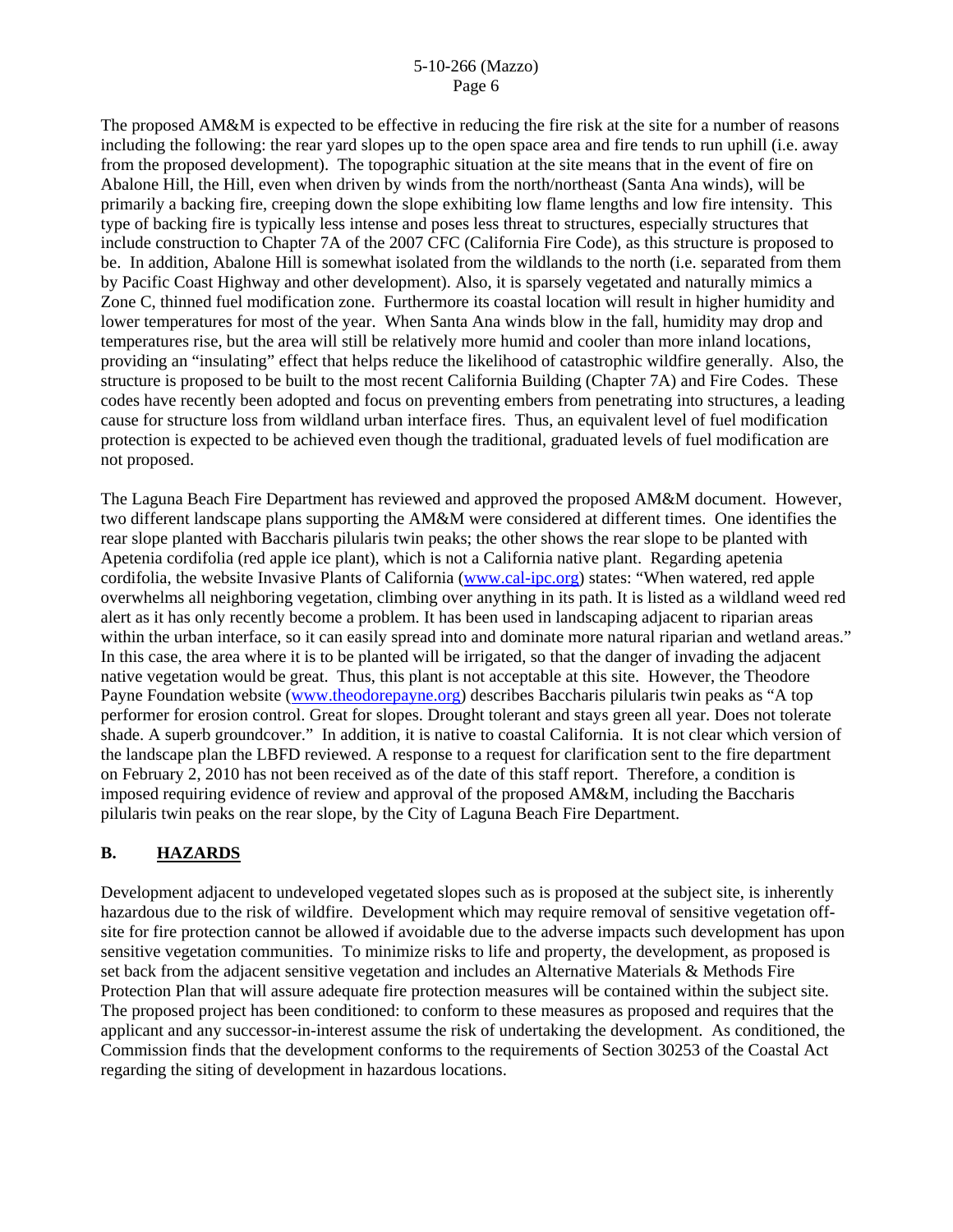The proposed AM&M is expected to be effective in reducing the fire risk at the site for a number of reasons including the following: the rear yard slopes up to the open space area and fire tends to run uphill (i.e. away from the proposed development). The topographic situation at the site means that in the event of fire on Abalone Hill, the Hill, even when driven by winds from the north/northeast (Santa Ana winds), will be primarily a backing fire, creeping down the slope exhibiting low flame lengths and low fire intensity. This type of backing fire is typically less intense and poses less threat to structures, especially structures that include construction to Chapter 7A of the 2007 CFC (California Fire Code), as this structure is proposed to be. In addition, Abalone Hill is somewhat isolated from the wildlands to the north (i.e. separated from them by Pacific Coast Highway and other development). Also, it is sparsely vegetated and naturally mimics a Zone C, thinned fuel modification zone. Furthermore its coastal location will result in higher humidity and lower temperatures for most of the year. When Santa Ana winds blow in the fall, humidity may drop and temperatures rise, but the area will still be relatively more humid and cooler than more inland locations, providing an "insulating" effect that helps reduce the likelihood of catastrophic wildfire generally. Also, the structure is proposed to be built to the most recent California Building (Chapter 7A) and Fire Codes. These codes have recently been adopted and focus on preventing embers from penetrating into structures, a leading cause for structure loss from wildland urban interface fires. Thus, an equivalent level of fuel modification protection is expected to be achieved even though the traditional, graduated levels of fuel modification are not proposed.

The Laguna Beach Fire Department has reviewed and approved the proposed AM&M document. However, two different landscape plans supporting the AM&M were considered at different times. One identifies the rear slope planted with Baccharis pilularis twin peaks; the other shows the rear slope to be planted with Apetenia cordifolia (red apple ice plant), which is not a California native plant. Regarding apetenia cordifolia, the website Invasive Plants of California [\(www.cal-ipc.org](http://www.cal-ipc.org/)) states: "When watered, red apple overwhelms all neighboring vegetation, climbing over anything in its path. It is listed as a wildland weed red alert as it has only recently become a problem. It has been used in landscaping adjacent to riparian areas within the urban interface, so it can easily spread into and dominate more natural riparian and wetland areas." In this case, the area where it is to be planted will be irrigated, so that the danger of invading the adjacent native vegetation would be great. Thus, this plant is not acceptable at this site. However, the Theodore Payne Foundation website [\(www.theodorepayne.org\)](http://www.theodorepayne.org/) describes Baccharis pilularis twin peaks as "A top performer for erosion control. Great for slopes. Drought tolerant and stays green all year. Does not tolerate shade. A superb groundcover." In addition, it is native to coastal California. It is not clear which version of the landscape plan the LBFD reviewed. A response to a request for clarification sent to the fire department on February 2, 2010 has not been received as of the date of this staff report. Therefore, a condition is imposed requiring evidence of review and approval of the proposed AM&M, including the Baccharis pilularis twin peaks on the rear slope, by the City of Laguna Beach Fire Department.

# **B. HAZARDS**

Development adjacent to undeveloped vegetated slopes such as is proposed at the subject site, is inherently hazardous due to the risk of wildfire. Development which may require removal of sensitive vegetation offsite for fire protection cannot be allowed if avoidable due to the adverse impacts such development has upon sensitive vegetation communities. To minimize risks to life and property, the development, as proposed is set back from the adjacent sensitive vegetation and includes an Alternative Materials & Methods Fire Protection Plan that will assure adequate fire protection measures will be contained within the subject site. The proposed project has been conditioned: to conform to these measures as proposed and requires that the applicant and any successor-in-interest assume the risk of undertaking the development. As conditioned, the Commission finds that the development conforms to the requirements of Section 30253 of the Coastal Act regarding the siting of development in hazardous locations.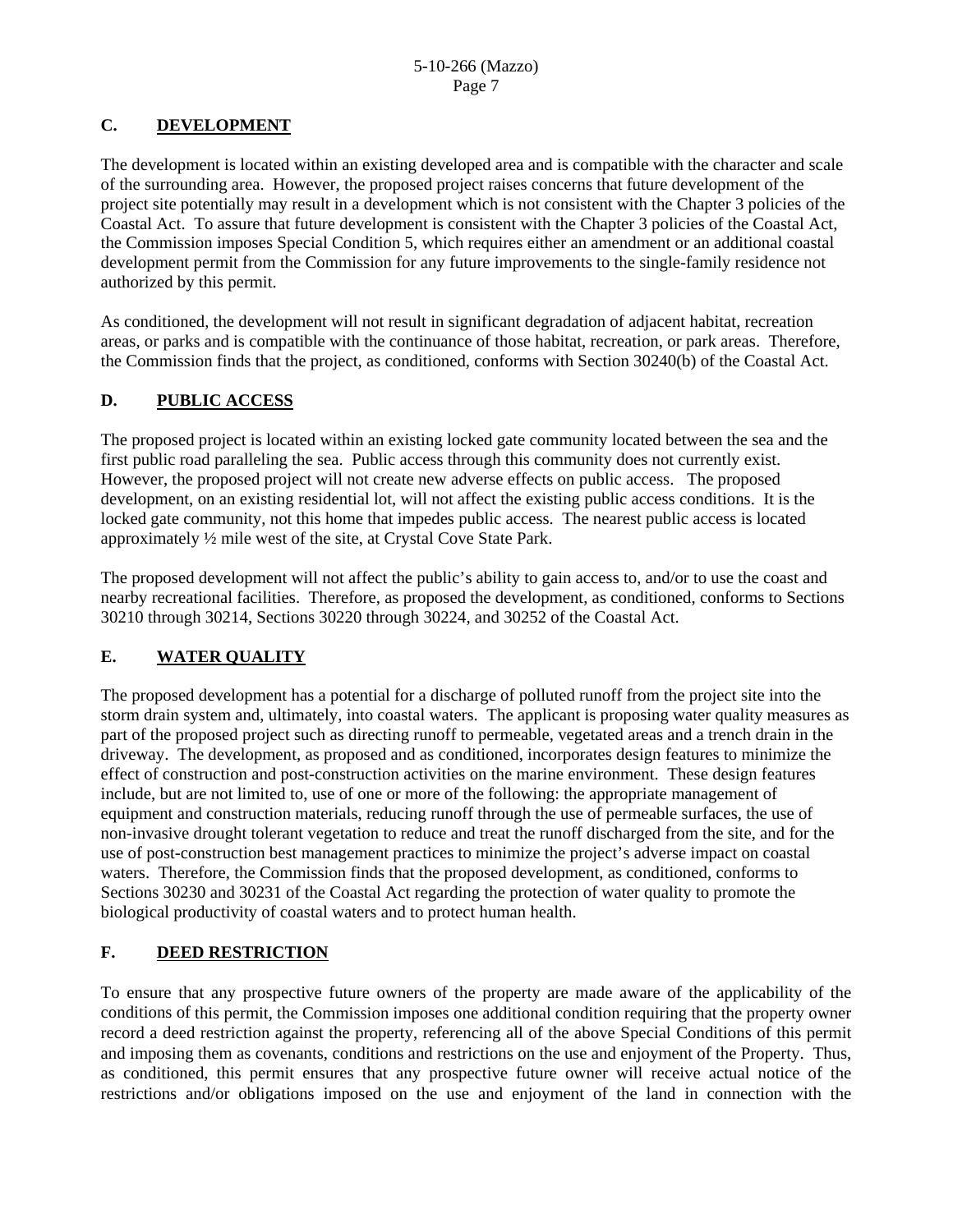# **C. DEVELOPMENT**

The development is located within an existing developed area and is compatible with the character and scale of the surrounding area. However, the proposed project raises concerns that future development of the project site potentially may result in a development which is not consistent with the Chapter 3 policies of the Coastal Act. To assure that future development is consistent with the Chapter 3 policies of the Coastal Act, the Commission imposes Special Condition 5, which requires either an amendment or an additional coastal development permit from the Commission for any future improvements to the single-family residence not authorized by this permit.

As conditioned, the development will not result in significant degradation of adjacent habitat, recreation areas, or parks and is compatible with the continuance of those habitat, recreation, or park areas. Therefore, the Commission finds that the project, as conditioned, conforms with Section 30240(b) of the Coastal Act.

# **D. PUBLIC ACCESS**

The proposed project is located within an existing locked gate community located between the sea and the first public road paralleling the sea. Public access through this community does not currently exist. However, the proposed project will not create new adverse effects on public access. The proposed development, on an existing residential lot, will not affect the existing public access conditions. It is the locked gate community, not this home that impedes public access. The nearest public access is located approximately ½ mile west of the site, at Crystal Cove State Park.

The proposed development will not affect the public's ability to gain access to, and/or to use the coast and nearby recreational facilities. Therefore, as proposed the development, as conditioned, conforms to Sections 30210 through 30214, Sections 30220 through 30224, and 30252 of the Coastal Act.

# **E. WATER QUALITY**

The proposed development has a potential for a discharge of polluted runoff from the project site into the storm drain system and, ultimately, into coastal waters. The applicant is proposing water quality measures as part of the proposed project such as directing runoff to permeable, vegetated areas and a trench drain in the driveway. The development, as proposed and as conditioned, incorporates design features to minimize the effect of construction and post-construction activities on the marine environment. These design features include, but are not limited to, use of one or more of the following: the appropriate management of equipment and construction materials, reducing runoff through the use of permeable surfaces, the use of non-invasive drought tolerant vegetation to reduce and treat the runoff discharged from the site, and for the use of post-construction best management practices to minimize the project's adverse impact on coastal waters. Therefore, the Commission finds that the proposed development, as conditioned, conforms to Sections 30230 and 30231 of the Coastal Act regarding the protection of water quality to promote the biological productivity of coastal waters and to protect human health.

# **F. DEED RESTRICTION**

To ensure that any prospective future owners of the property are made aware of the applicability of the conditions of this permit, the Commission imposes one additional condition requiring that the property owner record a deed restriction against the property, referencing all of the above Special Conditions of this permit and imposing them as covenants, conditions and restrictions on the use and enjoyment of the Property. Thus, as conditioned, this permit ensures that any prospective future owner will receive actual notice of the restrictions and/or obligations imposed on the use and enjoyment of the land in connection with the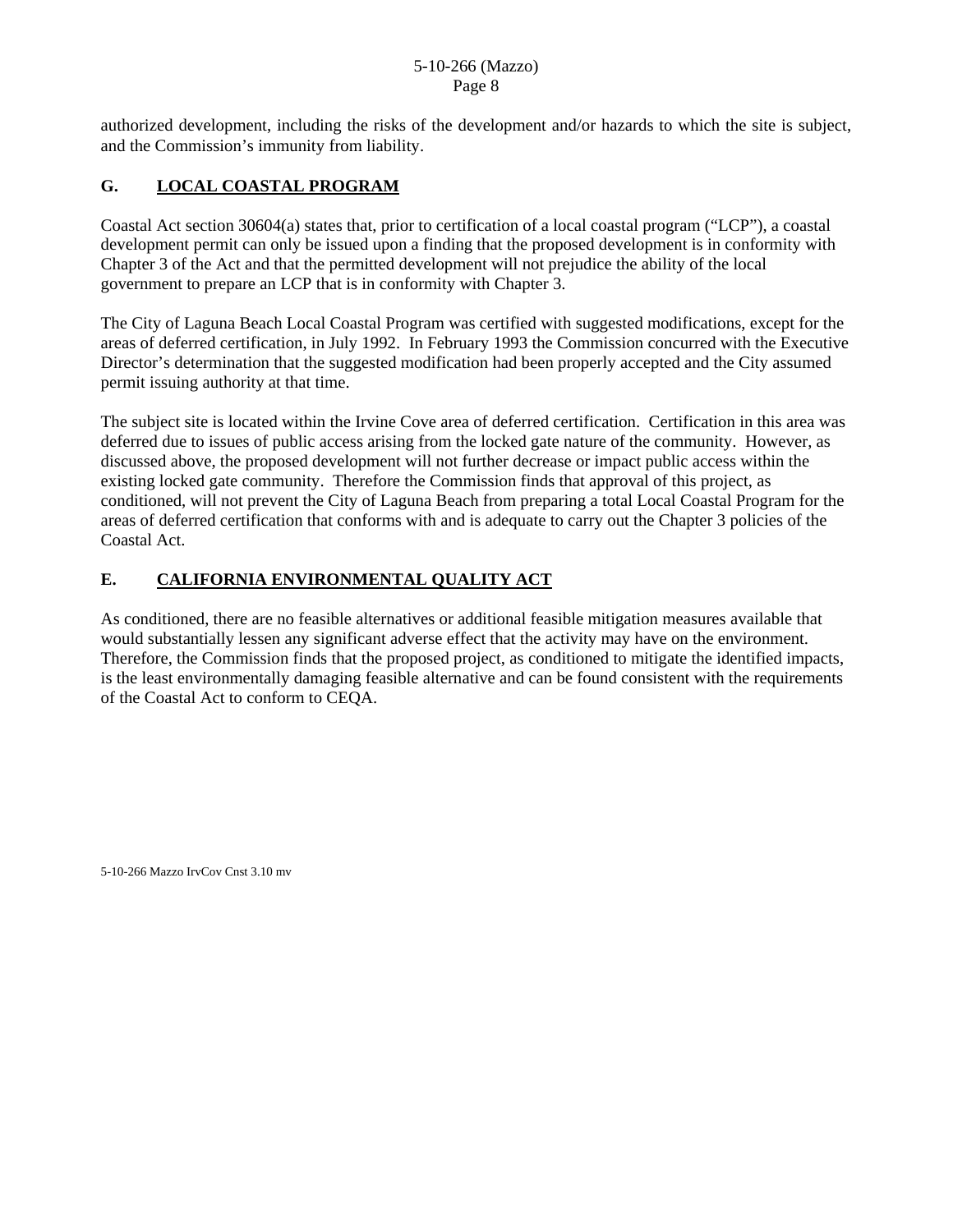authorized development, including the risks of the development and/or hazards to which the site is subject, and the Commission's immunity from liability.

# **G. LOCAL COASTAL PROGRAM**

Coastal Act section 30604(a) states that, prior to certification of a local coastal program ("LCP"), a coastal development permit can only be issued upon a finding that the proposed development is in conformity with Chapter 3 of the Act and that the permitted development will not prejudice the ability of the local government to prepare an LCP that is in conformity with Chapter 3.

The City of Laguna Beach Local Coastal Program was certified with suggested modifications, except for the areas of deferred certification, in July 1992. In February 1993 the Commission concurred with the Executive Director's determination that the suggested modification had been properly accepted and the City assumed permit issuing authority at that time.

The subject site is located within the Irvine Cove area of deferred certification. Certification in this area was deferred due to issues of public access arising from the locked gate nature of the community. However, as discussed above, the proposed development will not further decrease or impact public access within the existing locked gate community. Therefore the Commission finds that approval of this project, as conditioned, will not prevent the City of Laguna Beach from preparing a total Local Coastal Program for the areas of deferred certification that conforms with and is adequate to carry out the Chapter 3 policies of the Coastal Act.

# **E. CALIFORNIA ENVIRONMENTAL QUALITY ACT**

As conditioned, there are no feasible alternatives or additional feasible mitigation measures available that would substantially lessen any significant adverse effect that the activity may have on the environment. Therefore, the Commission finds that the proposed project, as conditioned to mitigate the identified impacts, is the least environmentally damaging feasible alternative and can be found consistent with the requirements of the Coastal Act to conform to CEQA.

5-10-266 Mazzo IrvCov Cnst 3.10 mv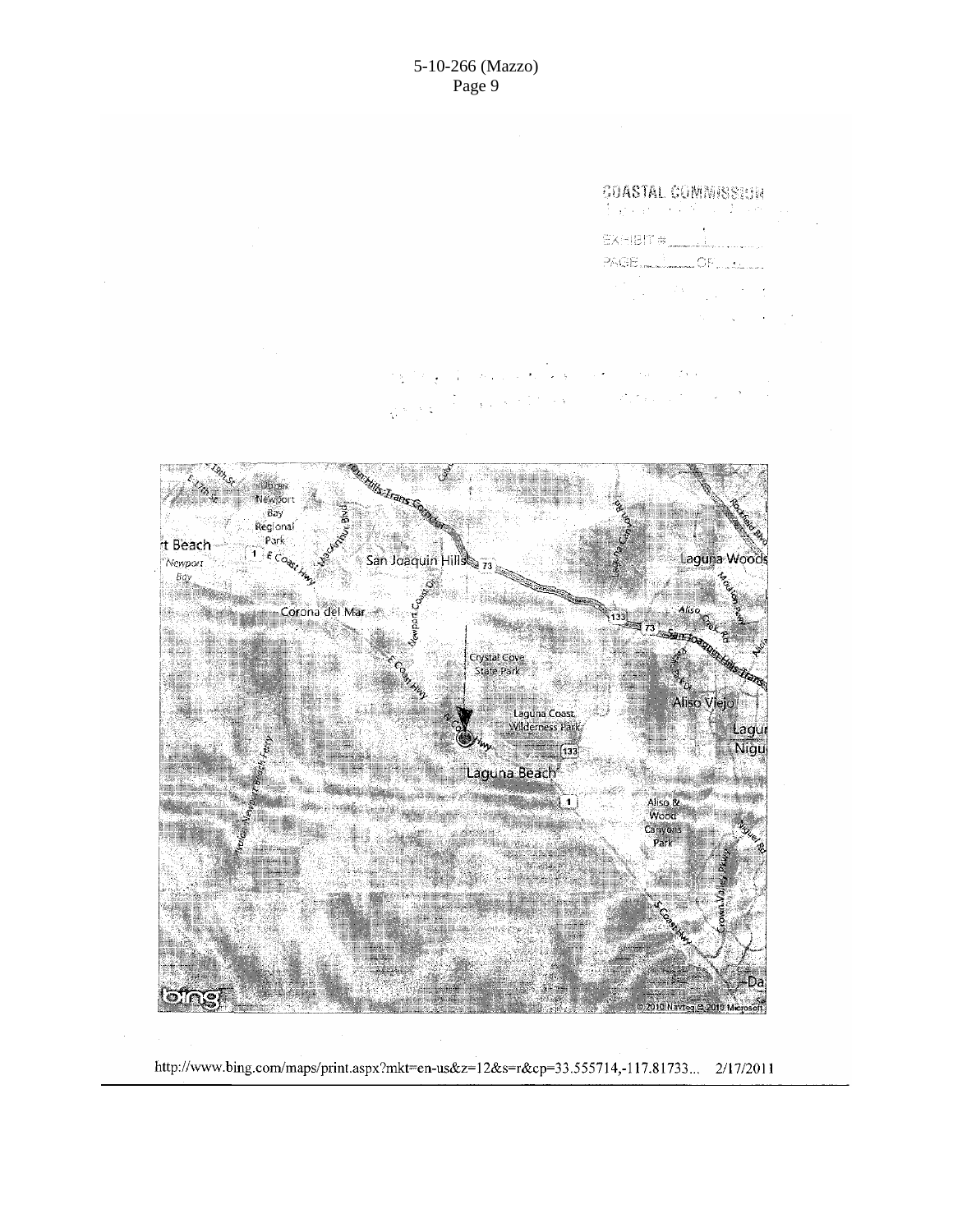

http://www.bing.com/maps/print.aspx?mkt=en-us&z=12&s=r&cp=33.555714,-117.81733... 2/17/2011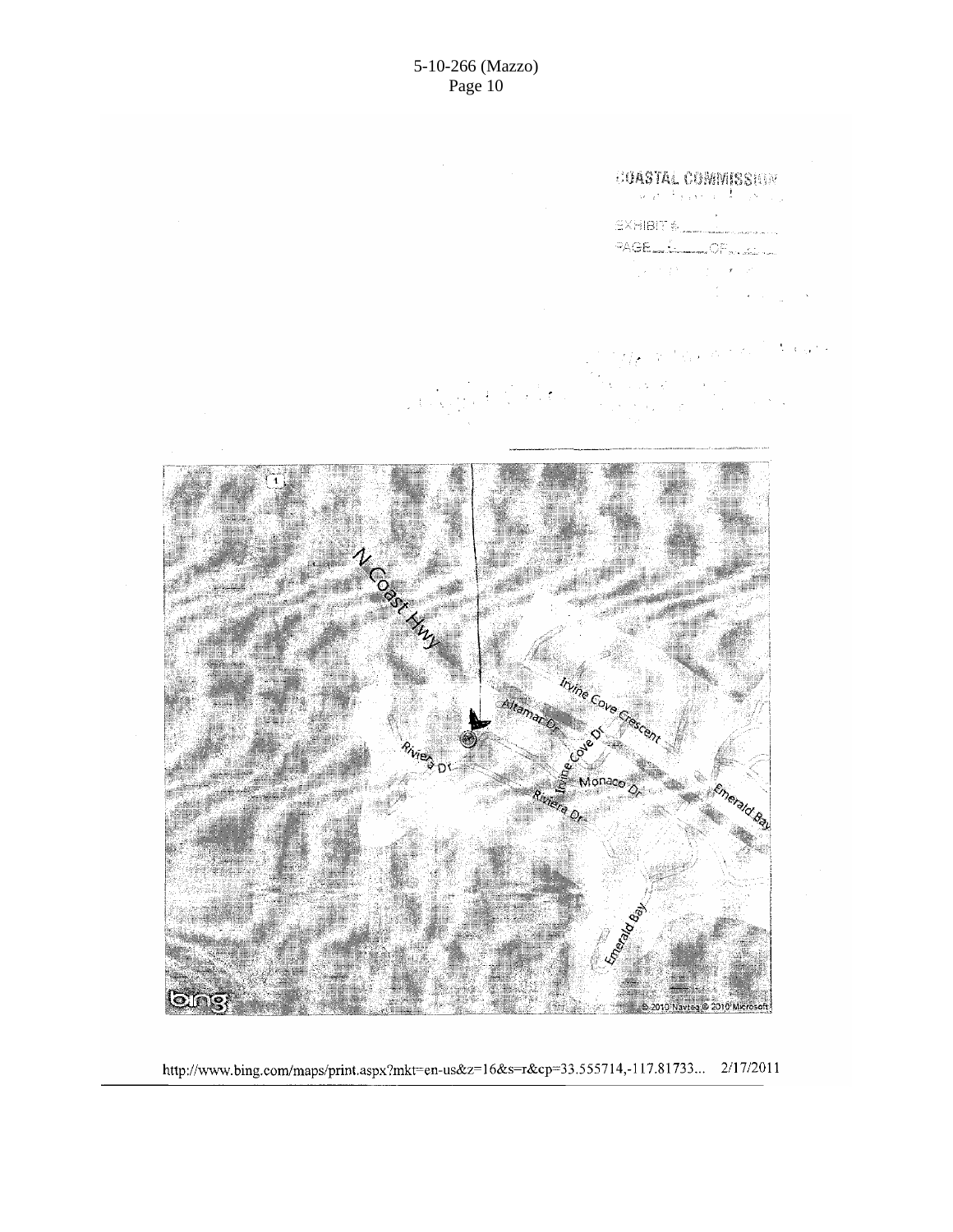

http://www.bing.com/maps/print.aspx?mkt=en-us&z=16&s=r&cp=33.555714,-117.81733... 2/17/2011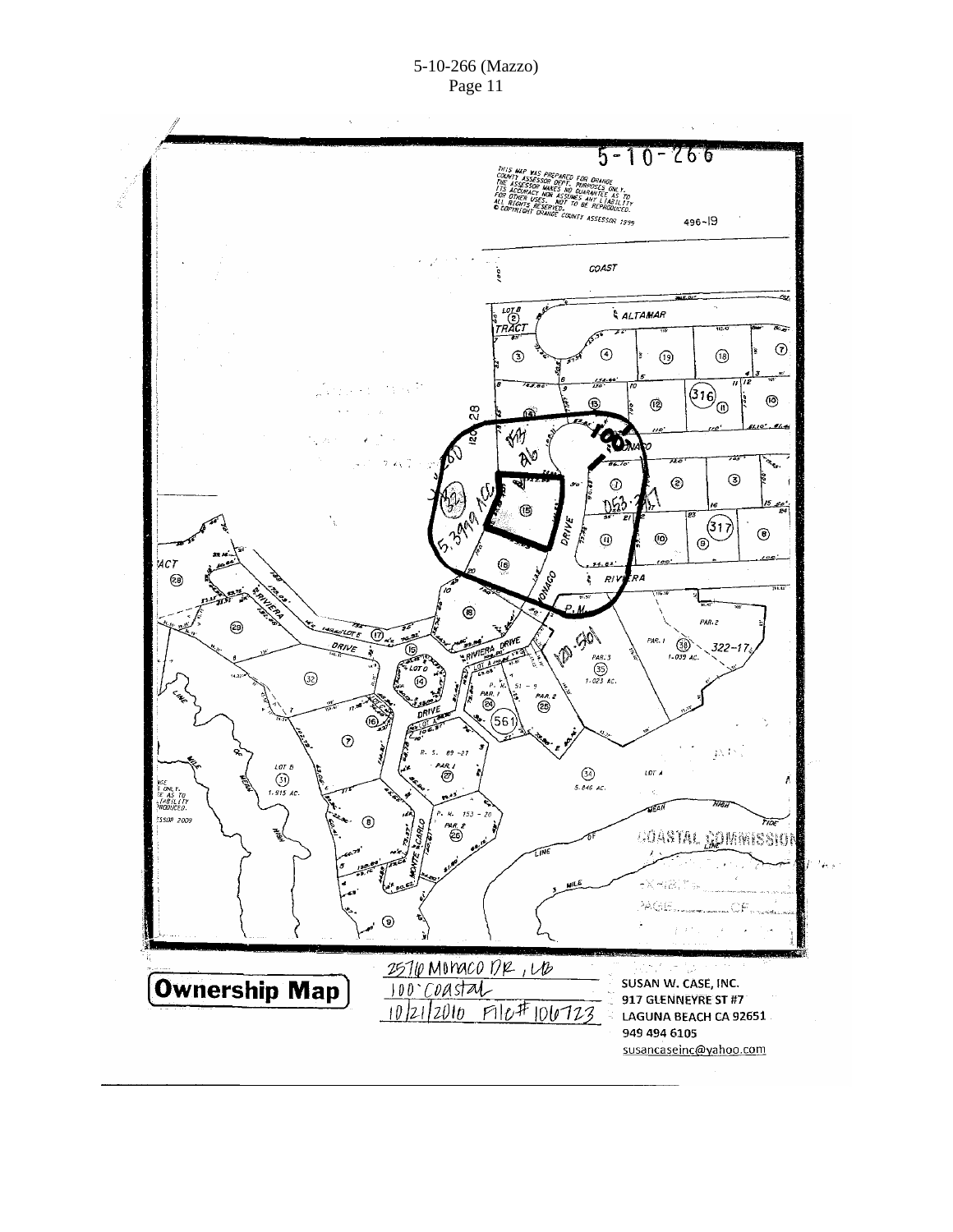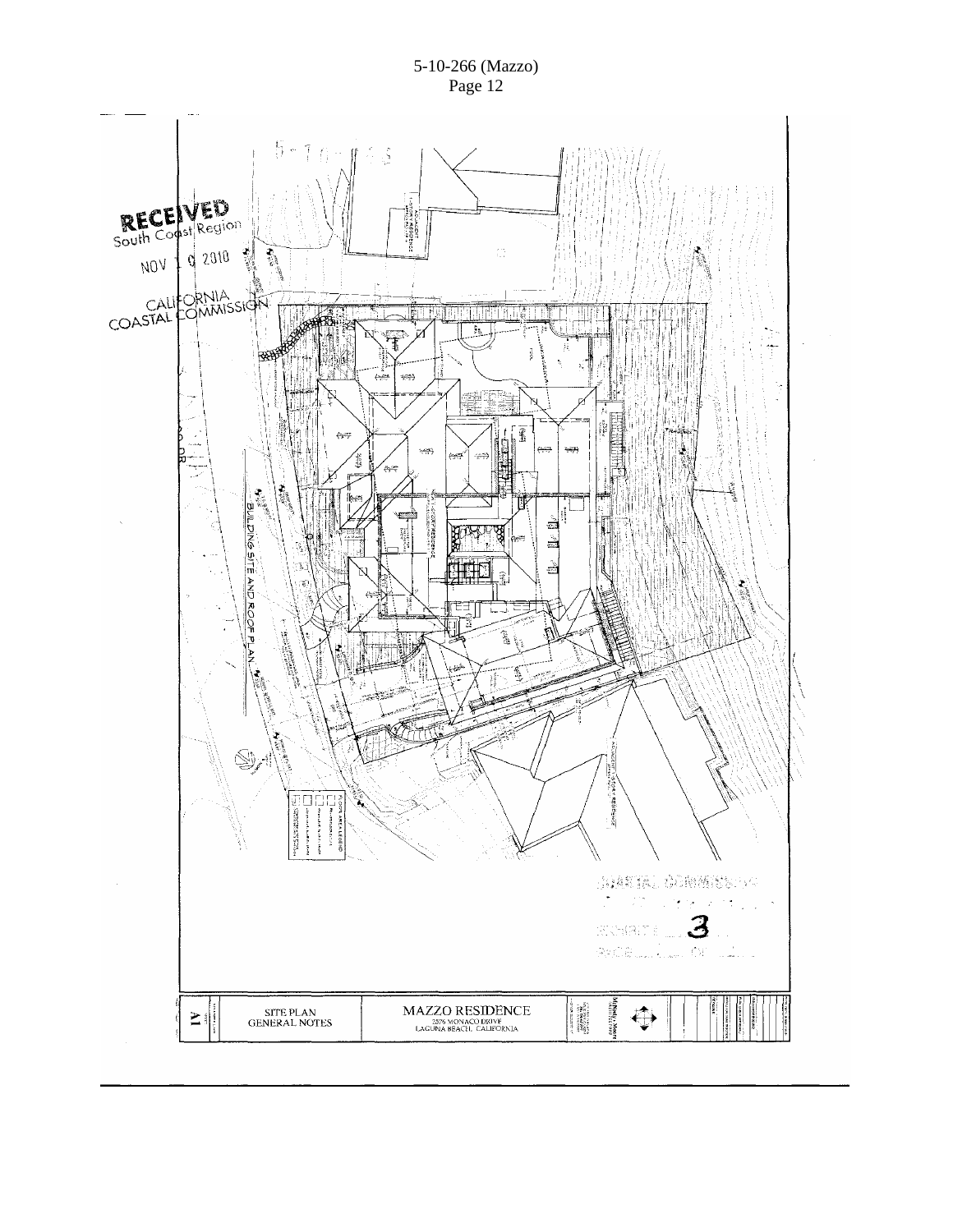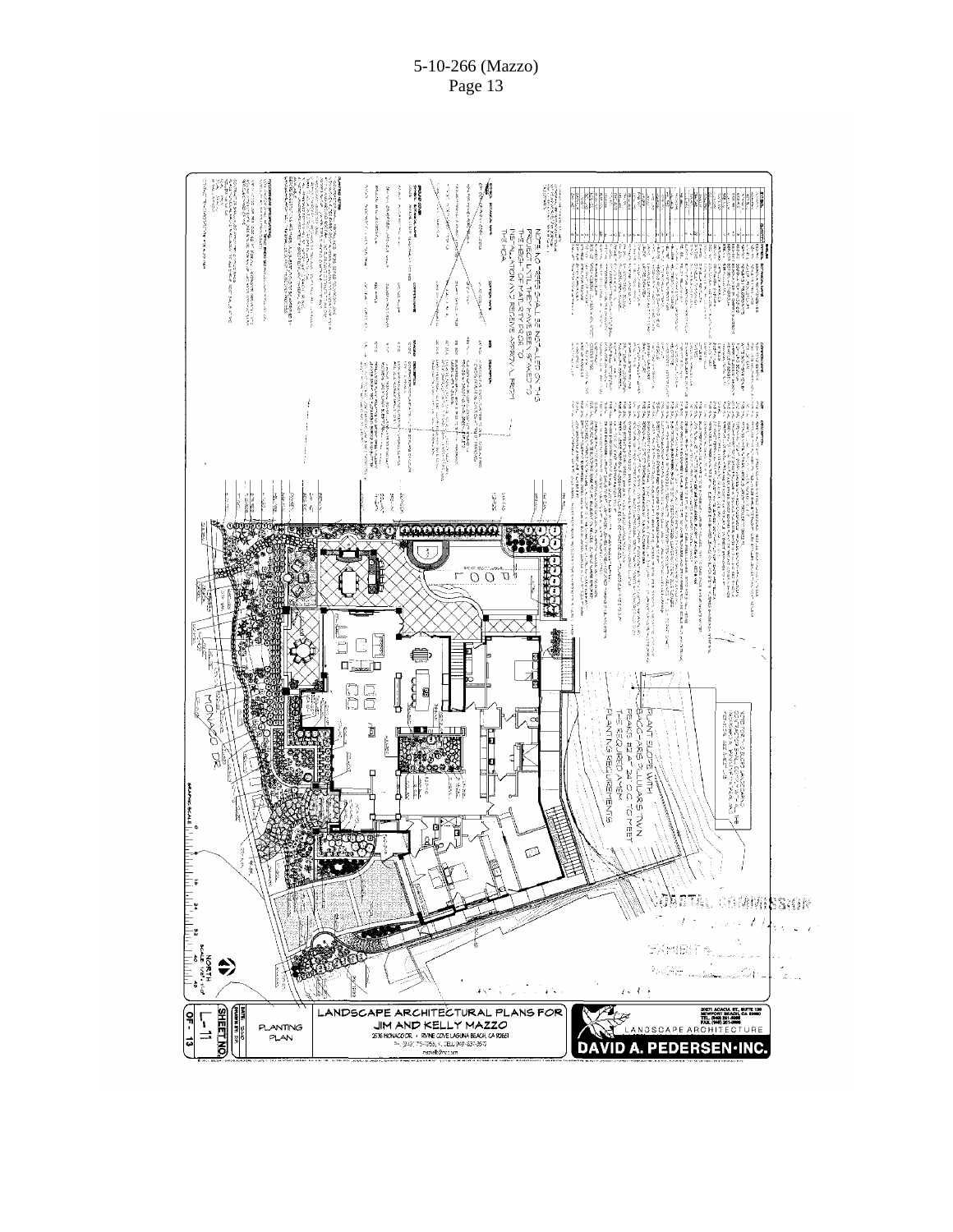